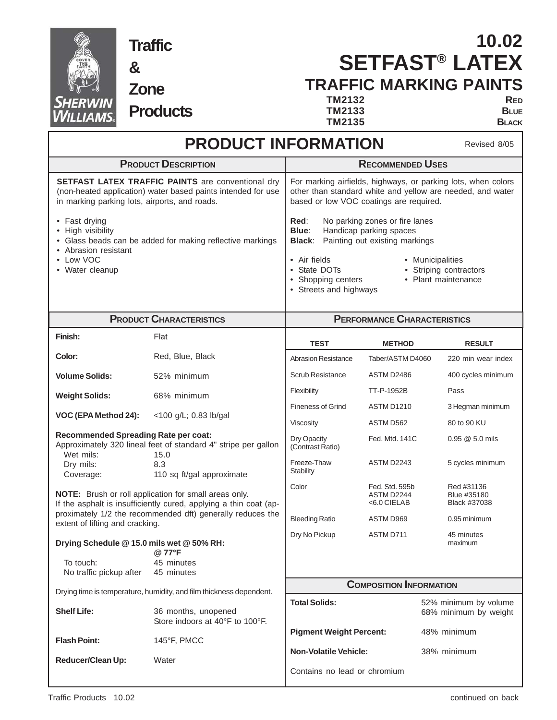

**Traffic**

**Products**

**&**

**Zone**

# **SETFAST® LATEX TRAFFIC MARKING PAINTS 10.02**

**TM2132 RED TM2133** BLUE<br>**TM2135** BLACK **TM2135** ٦

| <b>PRODUCT INFORMATION</b><br>Revised 8/05                                                                                                                                                                                  |                                                                        |                                                                                                                                                                                                                                                                                    |                                             |                                                |  |
|-----------------------------------------------------------------------------------------------------------------------------------------------------------------------------------------------------------------------------|------------------------------------------------------------------------|------------------------------------------------------------------------------------------------------------------------------------------------------------------------------------------------------------------------------------------------------------------------------------|---------------------------------------------|------------------------------------------------|--|
| <b>PRODUCT DESCRIPTION</b>                                                                                                                                                                                                  |                                                                        | <b>RECOMMENDED USES</b>                                                                                                                                                                                                                                                            |                                             |                                                |  |
| <b>SETFAST LATEX TRAFFIC PAINTS are conventional dry</b><br>(non-heated application) water based paints intended for use<br>in marking parking lots, airports, and roads.                                                   |                                                                        | For marking airfields, highways, or parking lots, when colors<br>other than standard white and yellow are needed, and water<br>based or low VOC coatings are required.                                                                                                             |                                             |                                                |  |
| • Fast drying<br>• High visibility<br>• Glass beads can be added for making reflective markings<br>• Abrasion resistant<br>• Low VOC<br>• Water cleanup                                                                     |                                                                        | Red:<br>No parking zones or fire lanes<br>Blue:<br>Handicap parking spaces<br>Painting out existing markings<br><b>Black:</b><br>• Air fields<br>• Municipalities<br>• Striping contractors<br>• State DOTs<br>• Shopping centers<br>• Plant maintenance<br>• Streets and highways |                                             |                                                |  |
| <b>PRODUCT CHARACTERISTICS</b>                                                                                                                                                                                              |                                                                        | <b>PERFORMANCE CHARACTERISTICS</b>                                                                                                                                                                                                                                                 |                                             |                                                |  |
| Finish:                                                                                                                                                                                                                     | Flat                                                                   | <b>TEST</b>                                                                                                                                                                                                                                                                        | <b>METHOD</b>                               | <b>RESULT</b>                                  |  |
| Color:                                                                                                                                                                                                                      | Red, Blue, Black                                                       | <b>Abrasion Resistance</b>                                                                                                                                                                                                                                                         | Taber/ASTM D4060                            | 220 min wear index                             |  |
| <b>Volume Solids:</b>                                                                                                                                                                                                       | 52% minimum                                                            | <b>Scrub Resistance</b>                                                                                                                                                                                                                                                            | ASTM D2486                                  | 400 cycles minimum                             |  |
| <b>Weight Solids:</b>                                                                                                                                                                                                       | 68% minimum                                                            | Flexibility                                                                                                                                                                                                                                                                        | TT-P-1952B                                  | Pass                                           |  |
| VOC (EPA Method 24):                                                                                                                                                                                                        | <100 g/L; 0.83 lb/gal                                                  | <b>Fineness of Grind</b>                                                                                                                                                                                                                                                           | <b>ASTM D1210</b>                           | 3 Hegman minimum                               |  |
|                                                                                                                                                                                                                             |                                                                        | Viscosity                                                                                                                                                                                                                                                                          | ASTM D562                                   | 80 to 90 KU                                    |  |
| <b>Recommended Spreading Rate per coat:</b><br>Wet mils:                                                                                                                                                                    | Approximately 320 lineal feet of standard 4" stripe per gallon<br>15.0 | Dry Opacity<br>(Contrast Ratio)                                                                                                                                                                                                                                                    | Fed. Mtd. 141C                              | $0.95 \ @ 5.0 \tmtext{mils}$                   |  |
| Dry mils:<br>Coverage:                                                                                                                                                                                                      | 8.3<br>110 sq ft/gal approximate                                       | Freeze-Thaw<br><b>Stability</b>                                                                                                                                                                                                                                                    | ASTM D2243                                  | 5 cycles minimum                               |  |
| NOTE: Brush or roll application for small areas only.<br>If the asphalt is insufficiently cured, applying a thin coat (ap-<br>proximately 1/2 the recommended dft) generally reduces the<br>extent of lifting and cracking. |                                                                        | Color                                                                                                                                                                                                                                                                              | Fed. Std. 595b<br>ASTM D2244<br><6.0 CIELAB | Red #31136<br>Blue #35180<br>Black #37038      |  |
|                                                                                                                                                                                                                             |                                                                        | <b>Bleeding Ratio</b>                                                                                                                                                                                                                                                              | ASTM D969                                   | 0.95 minimum                                   |  |
| Drying Schedule @ 15.0 mils wet @ 50% RH:                                                                                                                                                                                   |                                                                        | Dry No Pickup                                                                                                                                                                                                                                                                      | ASTM D711                                   | 45 minutes<br>maximum                          |  |
| To touch:                                                                                                                                                                                                                   | @ 77°F<br>45 minutes                                                   |                                                                                                                                                                                                                                                                                    |                                             |                                                |  |
| No traffic pickup after                                                                                                                                                                                                     | 45 minutes                                                             |                                                                                                                                                                                                                                                                                    |                                             |                                                |  |
| Drying time is temperature, humidity, and film thickness dependent.                                                                                                                                                         |                                                                        | <b>COMPOSITION INFORMATION</b>                                                                                                                                                                                                                                                     |                                             |                                                |  |
| <b>Shelf Life:</b>                                                                                                                                                                                                          | 36 months, unopened<br>Store indoors at 40°F to 100°F.                 | <b>Total Solids:</b>                                                                                                                                                                                                                                                               |                                             | 52% minimum by volume<br>68% minimum by weight |  |
| <b>Flash Point:</b>                                                                                                                                                                                                         | 145°F, PMCC                                                            | <b>Pigment Weight Percent:</b><br>48% minimum                                                                                                                                                                                                                                      |                                             |                                                |  |
| Reducer/Clean Up:                                                                                                                                                                                                           | Water                                                                  | <b>Non-Volatile Vehicle:</b>                                                                                                                                                                                                                                                       |                                             | 38% minimum                                    |  |
|                                                                                                                                                                                                                             |                                                                        | Contains no lead or chromium                                                                                                                                                                                                                                                       |                                             |                                                |  |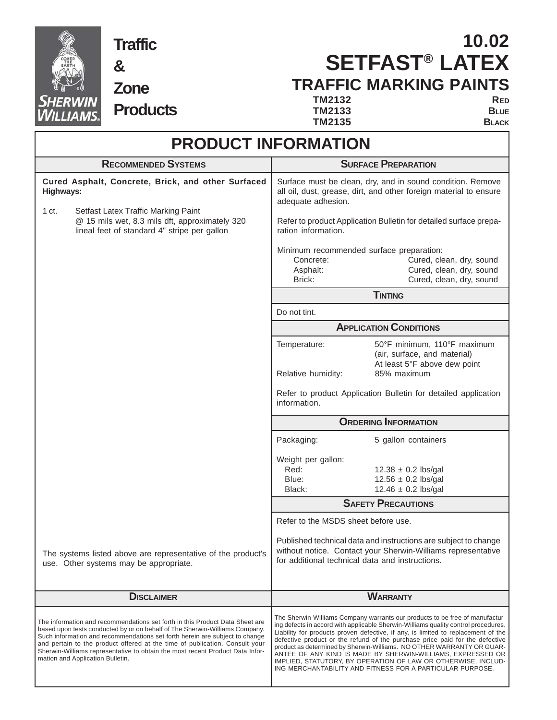

## **& Zone Products**

**Traffic**

## **SETFAST® LATEX TRAFFIC MARKING PAINTS 10.02**

**TM2132** RED<br>**TM2133** BLUE **TM2133** BLUE<br>**TM2135** BLACK **TM2135** 

| <b>PRODUCT INFORMATION</b>                                                                                                                                                                                                                                                                                                                                                                                                                     |                                                                                                                                                                                                                                                                                                                                                                                                                                                                                                                                                                                                               |  |  |  |
|------------------------------------------------------------------------------------------------------------------------------------------------------------------------------------------------------------------------------------------------------------------------------------------------------------------------------------------------------------------------------------------------------------------------------------------------|---------------------------------------------------------------------------------------------------------------------------------------------------------------------------------------------------------------------------------------------------------------------------------------------------------------------------------------------------------------------------------------------------------------------------------------------------------------------------------------------------------------------------------------------------------------------------------------------------------------|--|--|--|
| <b>RECOMMENDED SYSTEMS</b>                                                                                                                                                                                                                                                                                                                                                                                                                     | <b>SURFACE PREPARATION</b>                                                                                                                                                                                                                                                                                                                                                                                                                                                                                                                                                                                    |  |  |  |
| Cured Asphalt, Concrete, Brick, and other Surfaced<br>Highways:                                                                                                                                                                                                                                                                                                                                                                                | Surface must be clean, dry, and in sound condition. Remove<br>all oil, dust, grease, dirt, and other foreign material to ensure<br>adequate adhesion.                                                                                                                                                                                                                                                                                                                                                                                                                                                         |  |  |  |
| 1 <sub>ct.</sub><br>Setfast Latex Traffic Marking Paint<br>@ 15 mils wet, 8.3 mils dft, approximately 320<br>lineal feet of standard 4" stripe per gallon                                                                                                                                                                                                                                                                                      | Refer to product Application Bulletin for detailed surface prepa-<br>ration information.                                                                                                                                                                                                                                                                                                                                                                                                                                                                                                                      |  |  |  |
|                                                                                                                                                                                                                                                                                                                                                                                                                                                | Minimum recommended surface preparation:<br>Cured, clean, dry, sound<br>Concrete:<br>Cured, clean, dry, sound<br>Asphalt:<br>Brick:<br>Cured, clean, dry, sound                                                                                                                                                                                                                                                                                                                                                                                                                                               |  |  |  |
|                                                                                                                                                                                                                                                                                                                                                                                                                                                | <b>TINTING</b>                                                                                                                                                                                                                                                                                                                                                                                                                                                                                                                                                                                                |  |  |  |
|                                                                                                                                                                                                                                                                                                                                                                                                                                                | Do not tint.                                                                                                                                                                                                                                                                                                                                                                                                                                                                                                                                                                                                  |  |  |  |
|                                                                                                                                                                                                                                                                                                                                                                                                                                                | <b>APPLICATION CONDITIONS</b>                                                                                                                                                                                                                                                                                                                                                                                                                                                                                                                                                                                 |  |  |  |
|                                                                                                                                                                                                                                                                                                                                                                                                                                                | 50°F minimum, 110°F maximum<br>Temperature:<br>(air, surface, and material)<br>At least 5°F above dew point                                                                                                                                                                                                                                                                                                                                                                                                                                                                                                   |  |  |  |
|                                                                                                                                                                                                                                                                                                                                                                                                                                                | Relative humidity:<br>85% maximum                                                                                                                                                                                                                                                                                                                                                                                                                                                                                                                                                                             |  |  |  |
|                                                                                                                                                                                                                                                                                                                                                                                                                                                | Refer to product Application Bulletin for detailed application<br>information.                                                                                                                                                                                                                                                                                                                                                                                                                                                                                                                                |  |  |  |
|                                                                                                                                                                                                                                                                                                                                                                                                                                                | <b>ORDERING INFORMATION</b>                                                                                                                                                                                                                                                                                                                                                                                                                                                                                                                                                                                   |  |  |  |
|                                                                                                                                                                                                                                                                                                                                                                                                                                                | Packaging:<br>5 gallon containers                                                                                                                                                                                                                                                                                                                                                                                                                                                                                                                                                                             |  |  |  |
|                                                                                                                                                                                                                                                                                                                                                                                                                                                | Weight per gallon:<br>Red:                                                                                                                                                                                                                                                                                                                                                                                                                                                                                                                                                                                    |  |  |  |
|                                                                                                                                                                                                                                                                                                                                                                                                                                                | $12.38 \pm 0.2$ lbs/gal<br>$12.56 \pm 0.2$ lbs/gal<br>Blue:                                                                                                                                                                                                                                                                                                                                                                                                                                                                                                                                                   |  |  |  |
|                                                                                                                                                                                                                                                                                                                                                                                                                                                | Black:<br>$12.46 \pm 0.2$ lbs/gal                                                                                                                                                                                                                                                                                                                                                                                                                                                                                                                                                                             |  |  |  |
|                                                                                                                                                                                                                                                                                                                                                                                                                                                | <b>SAFETY PRECAUTIONS</b>                                                                                                                                                                                                                                                                                                                                                                                                                                                                                                                                                                                     |  |  |  |
|                                                                                                                                                                                                                                                                                                                                                                                                                                                | Refer to the MSDS sheet before use.                                                                                                                                                                                                                                                                                                                                                                                                                                                                                                                                                                           |  |  |  |
| The systems listed above are representative of the product's<br>use. Other systems may be appropriate.                                                                                                                                                                                                                                                                                                                                         | Published technical data and instructions are subject to change<br>without notice. Contact your Sherwin-Williams representative<br>for additional technical data and instructions.                                                                                                                                                                                                                                                                                                                                                                                                                            |  |  |  |
| <b>DISCLAIMER</b>                                                                                                                                                                                                                                                                                                                                                                                                                              | <b>WARRANTY</b>                                                                                                                                                                                                                                                                                                                                                                                                                                                                                                                                                                                               |  |  |  |
| The information and recommendations set forth in this Product Data Sheet are<br>based upon tests conducted by or on behalf of The Sherwin-Williams Company.<br>Such information and recommendations set forth herein are subject to change<br>and pertain to the product offered at the time of publication. Consult your<br>Sherwin-Williams representative to obtain the most recent Product Data Infor-<br>mation and Application Bulletin. | The Sherwin-Williams Company warrants our products to be free of manufactur-<br>ing defects in accord with applicable Sherwin-Williams quality control procedures.<br>Liability for products proven defective, if any, is limited to replacement of the<br>defective product or the refund of the purchase price paid for the defective<br>product as determined by Sherwin-Williams. NO OTHER WARRANTY OR GUAR-<br>ANTEE OF ANY KIND IS MADE BY SHERWIN-WILLIAMS, EXPRESSED OR<br>IMPLIED, STATUTORY, BY OPERATION OF LAW OR OTHERWISE, INCLUD-<br>ING MERCHANTABILITY AND FITNESS FOR A PARTICULAR PURPOSE. |  |  |  |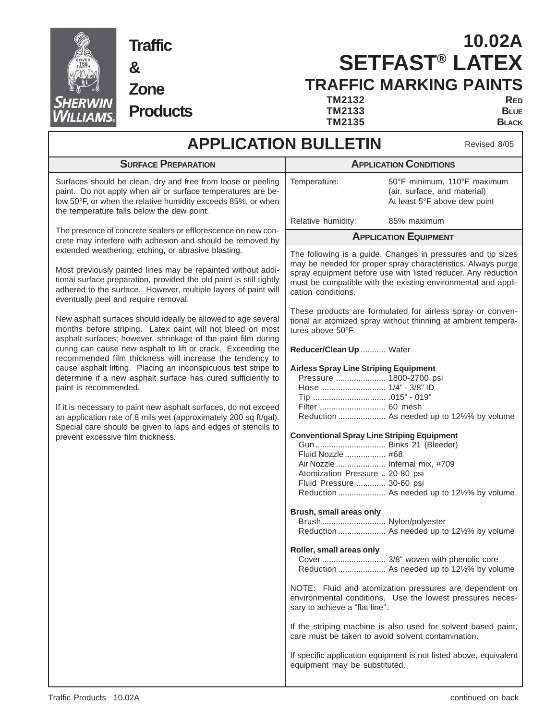

**Traffic**

**Zone**

**Products**

**&**

# **SETFAST® LATEX TRAFFIC MARKING PAINTS 10.02A**

**TM2132** RED<br>**TM2133** BLUE **TM2133** BLUE<br>**TM2135** BLACK **TM2135** 

## **APPLICATION BULLETIN**

Revised 8/05

| <b>SURFACE PREPARATION</b>                                                                                                                                                                                                                                                                                                                                                                           | <b>APPLICATION CONDITIONS</b>                                                                                                                                                                                                                                                                                                                                                                                                                                                                                                                                                                       |  |  |
|------------------------------------------------------------------------------------------------------------------------------------------------------------------------------------------------------------------------------------------------------------------------------------------------------------------------------------------------------------------------------------------------------|-----------------------------------------------------------------------------------------------------------------------------------------------------------------------------------------------------------------------------------------------------------------------------------------------------------------------------------------------------------------------------------------------------------------------------------------------------------------------------------------------------------------------------------------------------------------------------------------------------|--|--|
| Surfaces should be clean, dry and free from loose or peeling<br>paint. Do not apply when air or surface temperatures are be-<br>low 50°F, or when the relative humidity exceeds 85%, or when<br>the temperature falls below the dew point.                                                                                                                                                           | Temperature:<br>50°F minimum, 110°F maximum<br>(air, surface, and material)<br>At least 5°F above dew point                                                                                                                                                                                                                                                                                                                                                                                                                                                                                         |  |  |
|                                                                                                                                                                                                                                                                                                                                                                                                      | Relative humidity:<br>85% maximum                                                                                                                                                                                                                                                                                                                                                                                                                                                                                                                                                                   |  |  |
| The presence of concrete sealers or efflorescence on new con-<br>crete may interfere with adhesion and should be removed by                                                                                                                                                                                                                                                                          | <b>APPLICATION EQUIPMENT</b>                                                                                                                                                                                                                                                                                                                                                                                                                                                                                                                                                                        |  |  |
| extended weathering, etching, or abrasive blasting.<br>Most previously painted lines may be repainted without addi-<br>tional surface preparation, provided the old paint is still tightly<br>adhered to the surface. However, multiple layers of paint will<br>eventually peel and require removal.                                                                                                 | The following is a guide. Changes in pressures and tip sizes<br>may be needed for proper spray characteristics. Always purge<br>spray equipment before use with listed reducer. Any reduction<br>must be compatible with the existing environmental and appli-<br>cation conditions.                                                                                                                                                                                                                                                                                                                |  |  |
| New asphalt surfaces should ideally be allowed to age several<br>months before striping. Latex paint will not bleed on most<br>asphalt surfaces; however, shrinkage of the paint film during                                                                                                                                                                                                         | These products are formulated for airless spray or conven-<br>tional air atomized spray without thinning at ambient tempera-<br>tures above 50°F.                                                                                                                                                                                                                                                                                                                                                                                                                                                   |  |  |
| curing can cause new asphalt to lift or crack. Exceeding the<br>recommended film thickness will increase the tendency to                                                                                                                                                                                                                                                                             | Reducer/Clean Up  Water                                                                                                                                                                                                                                                                                                                                                                                                                                                                                                                                                                             |  |  |
| cause asphalt lifting. Placing an inconspicuous test stripe to<br>determine if a new asphalt surface has cured sufficiently to<br>paint is recommended.<br>If it is necessary to paint new asphalt surfaces, do not exceed<br>an application rate of 8 mils wet (approximately 200 sq ft/gal).<br>Special care should be given to laps and edges of stencils to<br>prevent excessive film thickness. | <b>Airless Spray Line Striping Equipment</b><br>Pressure  1800-2700 psi<br>Hose  1/4" - 3/8" ID<br>Filter  60 mesh<br>Reduction  As needed up to 121/2% by volume<br><b>Conventional Spray Line Striping Equipment</b><br>Gun  Binks 21 (Bleeder)<br>Fluid Nozzle  #68<br>Air Nozzle  Internal mix, #709<br>Atomization Pressure  20-80 psi<br>Fluid Pressure  30-60 psi<br>Reduction  As needed up to 121/2% by volume<br>Brush, small areas only<br>Brush Nylon/polyester<br>Reduction  As needed up to 12½% by volume<br>Roller, small areas only<br>Reduction  As needed up to 121/2% by volume |  |  |
|                                                                                                                                                                                                                                                                                                                                                                                                      | NOTE: Fluid and atomization pressures are dependent on<br>environmental conditions. Use the lowest pressures neces-<br>sary to achieve a "flat line".<br>If the striping machine is also used for solvent based paint,<br>care must be taken to avoid solvent contamination.<br>If specific application equipment is not listed above, equivalent<br>equipment may be substituted.                                                                                                                                                                                                                  |  |  |
|                                                                                                                                                                                                                                                                                                                                                                                                      |                                                                                                                                                                                                                                                                                                                                                                                                                                                                                                                                                                                                     |  |  |